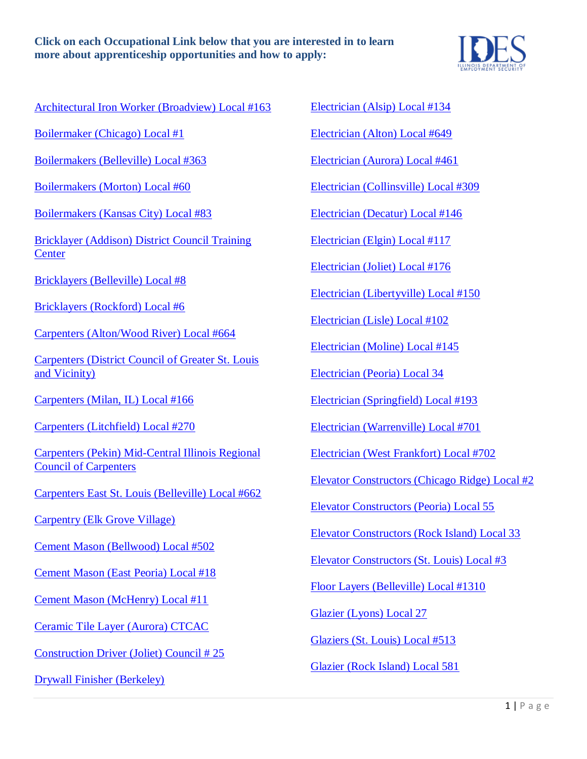

[Architectural Iron Worker \(Broadview\) Local #163](http://www.iwlocal63.com/training-2/)

[Boilermaker \(Chicago\) Local #1](http://www.boilermakerslocalone.com/)

[Boilermakers \(Belleville\) Local #363](https://www.boilermakers.org/local/363)

[Boilermakers \(Morton\) Local #60](https://www.boilermakers.org/local/60)

[Boilermakers \(Kansas City\) Local #83](http://www.bml83.org/)

[Bricklayer \(Addison\) District Council Training](http://www.bac2school.org/)  **[Center](http://www.bac2school.org/)** 

[Bricklayers \(Belleville\) Local #8](http://www.bac8il.com/)

[Bricklayers \(Rockford\) Local #6](http://www.bac6il.info/)

[Carpenters \(Alton/Wood River\) Local #664](https://www.unionfacts.com/lu/544586/CJA/664/)

[Carpenters \(District Council of Greater St. Louis](https://www.carpdc.org/)  [and Vicinity\)](https://www.carpdc.org/)

Carpenters (Milan, IL) Local #166

[Carpenters \(Litchfield\) Local #270](http://carpenters270.com/)

[Carpenters \(Pekin\) Mid-Central Illinois Regional](http://mcircc-jatc.com/)  [Council of Carpenters](http://mcircc-jatc.com/)

[Carpenters East St. Louis \(Belleville\) Local #662](https://www.unionfacts.com/lu/544569/CJA/662/)

[Carpentry \(Elk Grove Village\)](http://www.chicap.org/)

[Cement Mason \(Bellwood\) Local #502](https://ecommerce.issisystems.com/isite175/eremit.dll/17501/cm.asp?name=home)

[Cement Mason \(East Peoria\) Local #18](http://www.opcmia.org/)

[Cement Mason \(McHenry\) Local #11](http://www.opcmia11jatc.com/)

[Ceramic Tile Layer \(Aurora\) CTCAC](http://www.ctcac.org/)

[Construction Driver \(Joliet\) Council # 25](http://www.illinoisteamsterstraining.org/)

[Drywall Finisher \(Berkeley\)](http://www.jatc-dftc.org/)

[Electrician \(Alsip\) Local #134](http://www.ejatt.com/)

[Electrician \(Alton\) Local #649](http://www.ibew649.org/)

[Electrician \(Aurora\) Local #461](http://www.ibew461.org/)

[Electrician \(Collinsville\) Local #309](http://www.309jatc.org/)

[Electrician \(Decatur\) Local #146](http://www.ibew146.com/)

[Electrician \(Elgin\) Local #117](http://www.ibew117.com/)

[Electrician \(Joliet\) Local #176](http://www.ibewlocal176.org/jatc.php)

[Electrician \(Libertyville\) Local #150](http://www.ibew150.org/)

Electrician (Lisle) Local #102

[Electrician \(Moline\) Local #145](http://www.ibewlocal145.org/)

[Electrician \(Peoria\) Local 34](http://www.ibew34.org/apprenticeship/)

[Electrician \(Springfield\) Local #193](http://www.ibew193.com/)

[Electrician \(Warrenville\) Local #701](http://www.ibew701.org/)

[Electrician \(West Frankfort\) Local #702](http://www.ibew702.org/)

[Elevator Constructors \(Chicago Ridge\) Local #2](http://www.iuec2.com/)

Elevator Constructors (Peoria) Local 55

[Elevator Constructors \(Rock Island\) Local 33](http://www.iuec33.com/)

[Elevator Constructors \(St. Louis\) Local #3](http://iueclocal3.org/)

[Floor Layers \(Belleville\) Local #1310](http://www.floorlayers-local1310.com/)

[Glazier \(Lyons\) Local 27](http://www.glaziersunionlocal27.com/)

[Glaziers \(St. Louis\) Local #513](http://glaziers513.org/)

[Glazier \(Rock Island\) Local 581](http://www.cricbt.org/trades/glaziers581.html)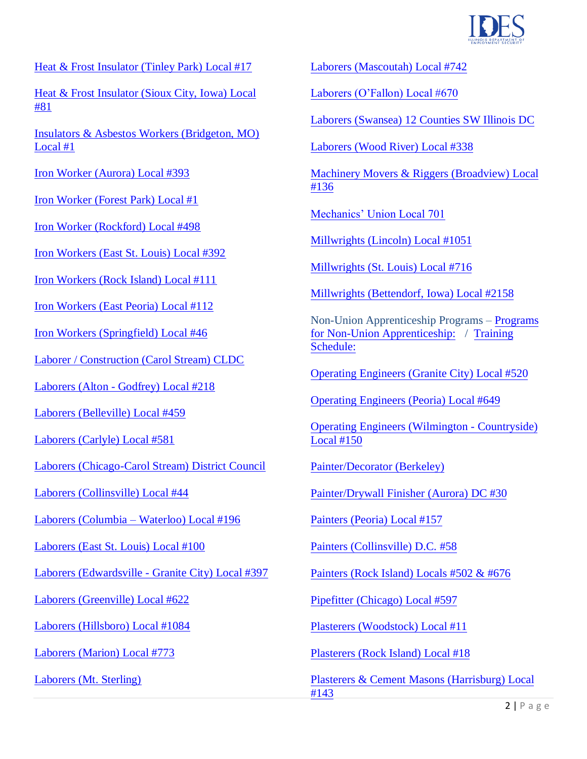

[Heat & Frost Insulator \(Tinley Park\) Local #17](http://www.local17insulators.com/)

[Heat & Frost Insulator \(Sioux City, Iowa\) Local](http://www.insulators.org/union-directory/iowa)  [#81](http://www.insulators.org/union-directory/iowa)

[Insulators & Asbestos Workers \(Bridgeton, MO\)](http://www.insulators.org/union-directory/missouri)  [Local #1](http://www.insulators.org/union-directory/missouri)

[Iron Worker \(Aurora\) Local #393](http://www.iwlocal393.com/)

[Iron Worker \(Forest Park\) Local #1](http://www.iwlocal1.com/)

[Iron Worker \(Rockford\) Local #498](http://www.iwlocal498.org/)

[Iron Workers \(East St. Louis\) Local #392](http://ironworkers392.org/)

[Iron Workers \(Rock Island\) Local #111](http://www.ironworkers111.org/index.html)

[Iron Workers \(East Peoria\) Local #112](http://www.ironworkers112.org/index.html)

[Iron Workers \(Springfield\) Local #46](http://www.ironworkers46.org/)

[Laborer / Construction \(Carol Stream\) CLDC](http://www.chicagolaborers.org/)

Laborers (Alton - [Godfrey\) Local #218](https://www.unionfacts.com/lu/11719/LIUNA/218/)

[Laborers \(Belleville\) Local #459](http://www.central-laborers.com/local_459.html)

[Laborers \(Carlyle\) Local #581](https://www.unionfacts.com/lu/8158/LIUNA/581/)

[Laborers \(Chicago-Carol Stream\) District Council](http://www.chicagolaborers.org/apprentice-program)

[Laborers \(Collinsville\) Local #44](https://www.unionfacts.com/lu/16462/LIUNA/44/)

[Laborers \(Columbia –](http://www.laborerslocal196.org/) Waterloo) Local #196

[Laborers \(East St. Louis\) Local #100](http://www.liuna100.org/)

Laborers (Edwardsville - [Granite City\) Local #397](http://www.local397.com/)

[Laborers \(Greenville\) Local #622](https://www.unionfacts.com/lu/15597/LIUNA/622/)

[Laborers \(Hillsboro\) Local #1084](https://www.unionfacts.com/lu/24445/LIUNA/1084/)

Laborers [\(Marion\) Local #773](http://www.local773.com/home)

[Laborers \(Mt. Sterling\)](http://www.illaborers.org/facility/mt-sterling/mt-sterling.html)

[Laborers \(Mascoutah\) Local #742](https://www.unionfacts.com/lu/7844/LIUNA/742/)

[Laborers \(O'Fallon\) Local #670](https://www.unionfacts.com/lu/1236/LIUNA/670/)

[Laborers \(Swansea\) 12 Counties SW Illinois DC](http://www.swildc.org/)

[Laborers \(Wood River\) Local #338](http://www.central-laborers.com/local_338.html)

[Machinery Movers & Riggers \(Broadview\) Local](http://www.riggerslocal136.com/) [#136](http://www.riggerslocal136.com/)

[Mechanics' Union Local 701](https://local701training.org/)

Millwrights [\(Lincoln\) Local #1051](http://www.ubcmillwrights.org/new_locator_details.jsp?State=Illinois&Local=Local+716)

[Millwrights \(St. Louis\) Local #716](http://www.ubcmillwrights.org/new_locator_details.jsp?State=Illinois&Local=Local+2158) 

Millwrights (Bettendorf, Iowa) Local #[2158](http://www.abcil.org/)

[Non-Union](http://www.learnyourtrade.com/) Apprenticeship Programs – Programs [for Non-Union Apprenticeship: / Training](http://www.oe520.org/)  Schedule:

[Operating Engineers \(Granite City\) Local](http://www.iuoe649.org/index.php?page=apprenticeship-and-training) #520

[Operating Engineers \(Peoria\) Local #649](http://www.iuoe.org/training/local-150-heavy-equipment-operator-training-school)

[Operating Engineers \(Wilmin](http://www.jatc-dftc.org/)gton - Countryside) Local #150

Painter/Decorator (Berkeley)

[Painter/Drywall Finisher \(Au](https://www.paintersdc30.com/employers/wage-rate-sheets/painters/painters-local-union-157)rora) DC #30

[Painters \(Peoria\) Local #157](http://www.dc58iupat.net/)

[Painters \(Collinsville\) D.C. #58](https://www.unionfacts.com/lu/3026/PAT/502/#basic-tab)

[Painters \(Rock Island\) Locals #5](http://www.pf597.org/)02 & #676

[Pipefitter \(Chicago\) Local #597](http://www.opcmia.org/)

[Plasterers \(Woodstock\) Local #11](http://www.opcmia.org/)

[Plasterers \(Rock Island\) Local #18](http://www.opcmia.org/index.php?option=com_content&task=view&id=62&Itemid=49)

Plasterers & Cement Masons (Harrisburg) Local #143